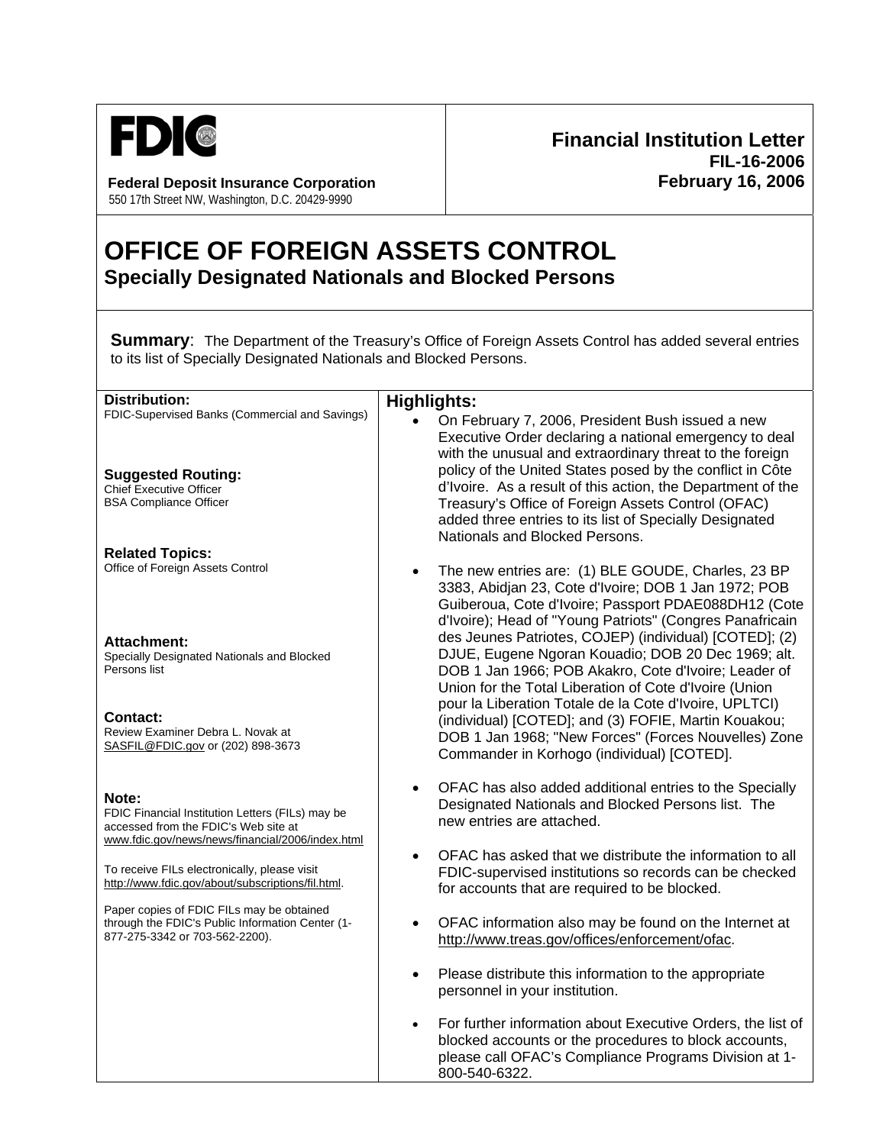

**Federal Deposit Insurance Corporation February 16, 2006** 550 17th Street NW, Washington, D.C. 20429-9990

## **Financial Institution Letter FIL-16-2006**

## **OFFICE OF FOREIGN ASSETS CONTROL Specially Designated Nationals and Blocked Persons**

**Summary:** The Department of the Treasury's Office of Foreign Assets Control has added several entries to its list of Specially Designated Nationals and Blocked Persons.

| <b>Distribution:</b>                                                                                                                                  | <b>Highlights:</b>                                                                                                                                                                                                                                                                       |
|-------------------------------------------------------------------------------------------------------------------------------------------------------|------------------------------------------------------------------------------------------------------------------------------------------------------------------------------------------------------------------------------------------------------------------------------------------|
| FDIC-Supervised Banks (Commercial and Savings)                                                                                                        | On February 7, 2006, President Bush issued a new<br>Executive Order declaring a national emergency to deal<br>with the unusual and extraordinary threat to the foreign                                                                                                                   |
| <b>Suggested Routing:</b><br><b>Chief Executive Officer</b><br><b>BSA Compliance Officer</b>                                                          | policy of the United States posed by the conflict in Côte<br>d'Ivoire. As a result of this action, the Department of the<br>Treasury's Office of Foreign Assets Control (OFAC)<br>added three entries to its list of Specially Designated<br>Nationals and Blocked Persons.              |
| <b>Related Topics:</b><br>Office of Foreign Assets Control                                                                                            | The new entries are: (1) BLE GOUDE, Charles, 23 BP<br>$\bullet$<br>3383, Abidjan 23, Cote d'Ivoire; DOB 1 Jan 1972; POB<br>Guiberoua, Cote d'Ivoire; Passport PDAE088DH12 (Cote<br>d'Ivoire); Head of "Young Patriots" (Congres Panafricain                                              |
| <b>Attachment:</b><br>Specially Designated Nationals and Blocked<br>Persons list                                                                      | des Jeunes Patriotes, COJEP) (individual) [COTED]; (2)<br>DJUE, Eugene Ngoran Kouadio; DOB 20 Dec 1969; alt.<br>DOB 1 Jan 1966; POB Akakro, Cote d'Ivoire; Leader of<br>Union for the Total Liberation of Cote d'Ivoire (Union<br>pour la Liberation Totale de la Cote d'Ivoire, UPLTCI) |
| <b>Contact:</b><br>Review Examiner Debra L. Novak at<br>SASFIL@FDIC.gov or (202) 898-3673                                                             | (individual) [COTED]; and (3) FOFIE, Martin Kouakou;<br>DOB 1 Jan 1968; "New Forces" (Forces Nouvelles) Zone<br>Commander in Korhogo (individual) [COTED].                                                                                                                               |
| Note:<br>FDIC Financial Institution Letters (FILs) may be<br>accessed from the FDIC's Web site at<br>www.fdic.gov/news/news/financial/2006/index.html | OFAC has also added additional entries to the Specially<br>$\bullet$<br>Designated Nationals and Blocked Persons list. The<br>new entries are attached.                                                                                                                                  |
| To receive FILs electronically, please visit<br>http://www.fdic.gov/about/subscriptions/fil.html.                                                     | OFAC has asked that we distribute the information to all<br>$\bullet$<br>FDIC-supervised institutions so records can be checked<br>for accounts that are required to be blocked.                                                                                                         |
| Paper copies of FDIC FILs may be obtained<br>through the FDIC's Public Information Center (1-<br>877-275-3342 or 703-562-2200).                       | OFAC information also may be found on the Internet at<br>$\bullet$<br>http://www.treas.gov/offices/enforcement/ofac.                                                                                                                                                                     |
|                                                                                                                                                       | Please distribute this information to the appropriate<br>$\bullet$<br>personnel in your institution.                                                                                                                                                                                     |
|                                                                                                                                                       | For further information about Executive Orders, the list of<br>$\bullet$<br>blocked accounts or the procedures to block accounts,<br>please call OFAC's Compliance Programs Division at 1-<br>800-540-6322.                                                                              |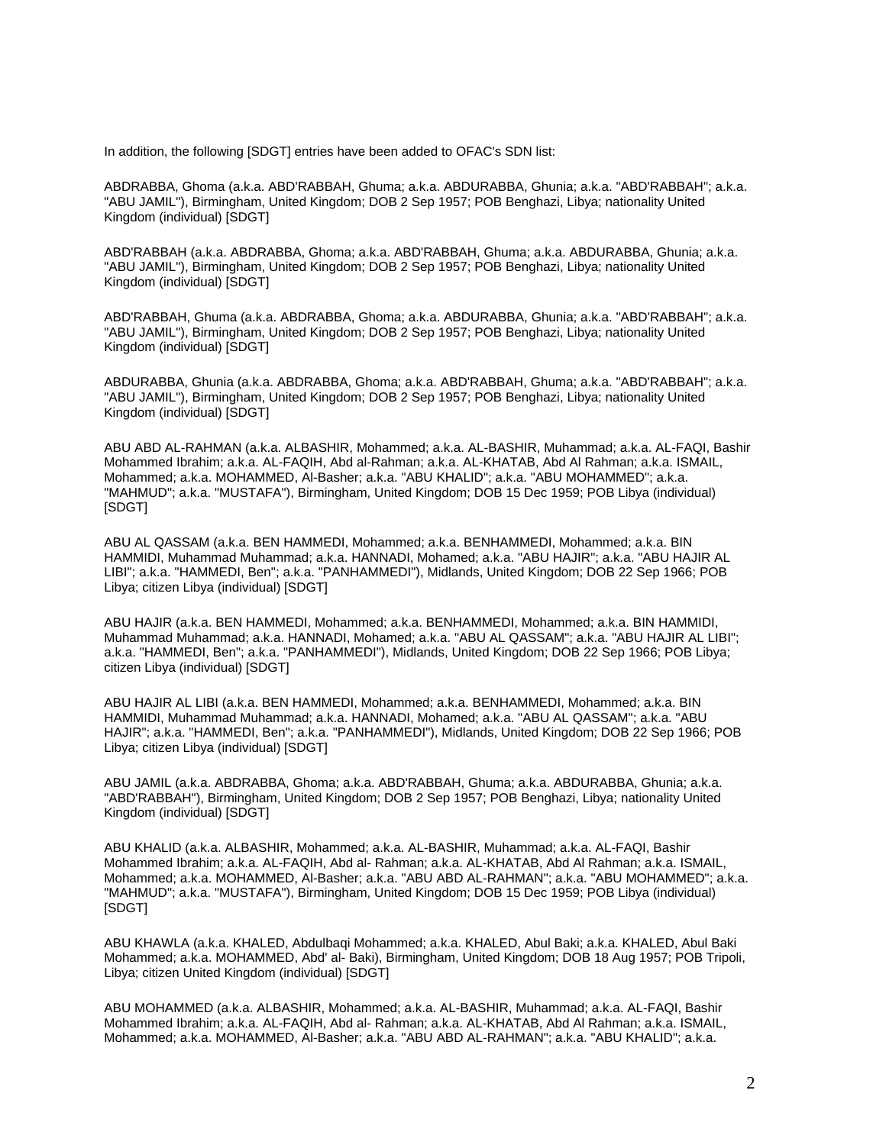In addition, the following [SDGT] entries have been added to OFAC's SDN list:

ABDRABBA, Ghoma (a.k.a. ABD'RABBAH, Ghuma; a.k.a. ABDURABBA, Ghunia; a.k.a. "ABD'RABBAH"; a.k.a. "ABU JAMIL"), Birmingham, United Kingdom; DOB 2 Sep 1957; POB Benghazi, Libya; nationality United Kingdom (individual) [SDGT]

ABD'RABBAH (a.k.a. ABDRABBA, Ghoma; a.k.a. ABD'RABBAH, Ghuma; a.k.a. ABDURABBA, Ghunia; a.k.a. "ABU JAMIL"), Birmingham, United Kingdom; DOB 2 Sep 1957; POB Benghazi, Libya; nationality United Kingdom (individual) [SDGT]

ABD'RABBAH, Ghuma (a.k.a. ABDRABBA, Ghoma; a.k.a. ABDURABBA, Ghunia; a.k.a. "ABD'RABBAH"; a.k.a. "ABU JAMIL"), Birmingham, United Kingdom; DOB 2 Sep 1957; POB Benghazi, Libya; nationality United Kingdom (individual) [SDGT]

ABDURABBA, Ghunia (a.k.a. ABDRABBA, Ghoma; a.k.a. ABD'RABBAH, Ghuma; a.k.a. "ABD'RABBAH"; a.k.a. "ABU JAMIL"), Birmingham, United Kingdom; DOB 2 Sep 1957; POB Benghazi, Libya; nationality United Kingdom (individual) [SDGT]

ABU ABD AL-RAHMAN (a.k.a. ALBASHIR, Mohammed; a.k.a. AL-BASHIR, Muhammad; a.k.a. AL-FAQI, Bashir Mohammed Ibrahim; a.k.a. AL-FAQIH, Abd al-Rahman; a.k.a. AL-KHATAB, Abd Al Rahman; a.k.a. ISMAIL, Mohammed; a.k.a. MOHAMMED, Al-Basher; a.k.a. "ABU KHALID"; a.k.a. "ABU MOHAMMED"; a.k.a. "MAHMUD"; a.k.a. "MUSTAFA"), Birmingham, United Kingdom; DOB 15 Dec 1959; POB Libya (individual) [SDGT]

ABU AL QASSAM (a.k.a. BEN HAMMEDI, Mohammed; a.k.a. BENHAMMEDI, Mohammed; a.k.a. BIN HAMMIDI, Muhammad Muhammad; a.k.a. HANNADI, Mohamed; a.k.a. "ABU HAJIR"; a.k.a. "ABU HAJIR AL LIBI"; a.k.a. "HAMMEDI, Ben"; a.k.a. "PANHAMMEDI"), Midlands, United Kingdom; DOB 22 Sep 1966; POB Libya; citizen Libya (individual) [SDGT]

ABU HAJIR (a.k.a. BEN HAMMEDI, Mohammed; a.k.a. BENHAMMEDI, Mohammed; a.k.a. BIN HAMMIDI, Muhammad Muhammad; a.k.a. HANNADI, Mohamed; a.k.a. "ABU AL QASSAM"; a.k.a. "ABU HAJIR AL LIBI"; a.k.a. "HAMMEDI, Ben"; a.k.a. "PANHAMMEDI"), Midlands, United Kingdom; DOB 22 Sep 1966; POB Libya; citizen Libya (individual) [SDGT]

ABU HAJIR AL LIBI (a.k.a. BEN HAMMEDI, Mohammed; a.k.a. BENHAMMEDI, Mohammed; a.k.a. BIN HAMMIDI, Muhammad Muhammad; a.k.a. HANNADI, Mohamed; a.k.a. "ABU AL QASSAM"; a.k.a. "ABU HAJIR"; a.k.a. "HAMMEDI, Ben"; a.k.a. "PANHAMMEDI"), Midlands, United Kingdom; DOB 22 Sep 1966; POB Libya; citizen Libya (individual) [SDGT]

ABU JAMIL (a.k.a. ABDRABBA, Ghoma; a.k.a. ABD'RABBAH, Ghuma; a.k.a. ABDURABBA, Ghunia; a.k.a. "ABD'RABBAH"), Birmingham, United Kingdom; DOB 2 Sep 1957; POB Benghazi, Libya; nationality United Kingdom (individual) [SDGT]

ABU KHALID (a.k.a. ALBASHIR, Mohammed; a.k.a. AL-BASHIR, Muhammad; a.k.a. AL-FAQI, Bashir Mohammed Ibrahim; a.k.a. AL-FAQIH, Abd al- Rahman; a.k.a. AL-KHATAB, Abd Al Rahman; a.k.a. ISMAIL, Mohammed; a.k.a. MOHAMMED, Al-Basher; a.k.a. "ABU ABD AL-RAHMAN"; a.k.a. "ABU MOHAMMED"; a.k.a. "MAHMUD"; a.k.a. "MUSTAFA"), Birmingham, United Kingdom; DOB 15 Dec 1959; POB Libya (individual) [SDGT]

ABU KHAWLA (a.k.a. KHALED, Abdulbaqi Mohammed; a.k.a. KHALED, Abul Baki; a.k.a. KHALED, Abul Baki Mohammed; a.k.a. MOHAMMED, Abd' al- Baki), Birmingham, United Kingdom; DOB 18 Aug 1957; POB Tripoli, Libya; citizen United Kingdom (individual) [SDGT]

ABU MOHAMMED (a.k.a. ALBASHIR, Mohammed; a.k.a. AL-BASHIR, Muhammad; a.k.a. AL-FAQI, Bashir Mohammed Ibrahim; a.k.a. AL-FAQIH, Abd al- Rahman; a.k.a. AL-KHATAB, Abd Al Rahman; a.k.a. ISMAIL, Mohammed; a.k.a. MOHAMMED, Al-Basher; a.k.a. "ABU ABD AL-RAHMAN"; a.k.a. "ABU KHALID"; a.k.a.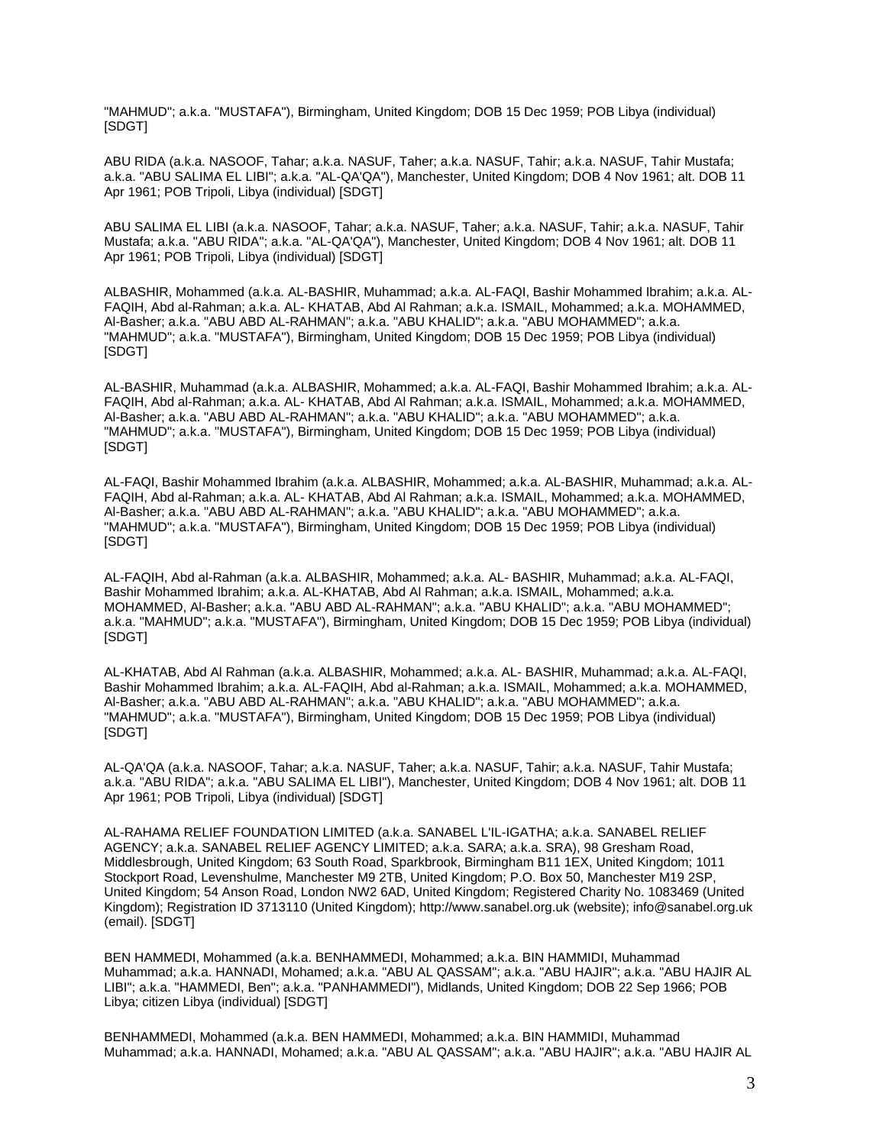"MAHMUD"; a.k.a. "MUSTAFA"), Birmingham, United Kingdom; DOB 15 Dec 1959; POB Libya (individual) [SDGT]

ABU RIDA (a.k.a. NASOOF, Tahar; a.k.a. NASUF, Taher; a.k.a. NASUF, Tahir; a.k.a. NASUF, Tahir Mustafa; a.k.a. "ABU SALIMA EL LIBI"; a.k.a. "AL-QA'QA"), Manchester, United Kingdom; DOB 4 Nov 1961; alt. DOB 11 Apr 1961; POB Tripoli, Libya (individual) [SDGT]

ABU SALIMA EL LIBI (a.k.a. NASOOF, Tahar; a.k.a. NASUF, Taher; a.k.a. NASUF, Tahir; a.k.a. NASUF, Tahir Mustafa; a.k.a. "ABU RIDA"; a.k.a. "AL-QA'QA"), Manchester, United Kingdom; DOB 4 Nov 1961; alt. DOB 11 Apr 1961; POB Tripoli, Libya (individual) [SDGT]

ALBASHIR, Mohammed (a.k.a. AL-BASHIR, Muhammad; a.k.a. AL-FAQI, Bashir Mohammed Ibrahim; a.k.a. AL-FAQIH, Abd al-Rahman; a.k.a. AL- KHATAB, Abd Al Rahman; a.k.a. ISMAIL, Mohammed; a.k.a. MOHAMMED, Al-Basher; a.k.a. "ABU ABD AL-RAHMAN"; a.k.a. "ABU KHALID"; a.k.a. "ABU MOHAMMED"; a.k.a. "MAHMUD"; a.k.a. "MUSTAFA"), Birmingham, United Kingdom; DOB 15 Dec 1959; POB Libya (individual) [SDGT]

AL-BASHIR, Muhammad (a.k.a. ALBASHIR, Mohammed; a.k.a. AL-FAQI, Bashir Mohammed Ibrahim; a.k.a. AL-FAQIH, Abd al-Rahman; a.k.a. AL- KHATAB, Abd Al Rahman; a.k.a. ISMAIL, Mohammed; a.k.a. MOHAMMED, Al-Basher; a.k.a. "ABU ABD AL-RAHMAN"; a.k.a. "ABU KHALID"; a.k.a. "ABU MOHAMMED"; a.k.a. "MAHMUD"; a.k.a. "MUSTAFA"), Birmingham, United Kingdom; DOB 15 Dec 1959; POB Libya (individual) [SDGT]

AL-FAQI, Bashir Mohammed Ibrahim (a.k.a. ALBASHIR, Mohammed; a.k.a. AL-BASHIR, Muhammad; a.k.a. AL-FAQIH, Abd al-Rahman; a.k.a. AL- KHATAB, Abd Al Rahman; a.k.a. ISMAIL, Mohammed; a.k.a. MOHAMMED, Al-Basher; a.k.a. "ABU ABD AL-RAHMAN"; a.k.a. "ABU KHALID"; a.k.a. "ABU MOHAMMED"; a.k.a. "MAHMUD"; a.k.a. "MUSTAFA"), Birmingham, United Kingdom; DOB 15 Dec 1959; POB Libya (individual) [SDGT]

AL-FAQIH, Abd al-Rahman (a.k.a. ALBASHIR, Mohammed; a.k.a. AL- BASHIR, Muhammad; a.k.a. AL-FAQI, Bashir Mohammed Ibrahim; a.k.a. AL-KHATAB, Abd Al Rahman; a.k.a. ISMAIL, Mohammed; a.k.a. MOHAMMED, Al-Basher; a.k.a. "ABU ABD AL-RAHMAN"; a.k.a. "ABU KHALID"; a.k.a. "ABU MOHAMMED"; a.k.a. "MAHMUD"; a.k.a. "MUSTAFA"), Birmingham, United Kingdom; DOB 15 Dec 1959; POB Libya (individual) [SDGT]

AL-KHATAB, Abd Al Rahman (a.k.a. ALBASHIR, Mohammed; a.k.a. AL- BASHIR, Muhammad; a.k.a. AL-FAQI, Bashir Mohammed Ibrahim; a.k.a. AL-FAQIH, Abd al-Rahman; a.k.a. ISMAIL, Mohammed; a.k.a. MOHAMMED, Al-Basher; a.k.a. "ABU ABD AL-RAHMAN"; a.k.a. "ABU KHALID"; a.k.a. "ABU MOHAMMED"; a.k.a. "MAHMUD"; a.k.a. "MUSTAFA"), Birmingham, United Kingdom; DOB 15 Dec 1959; POB Libya (individual) [SDGT]

AL-QA'QA (a.k.a. NASOOF, Tahar; a.k.a. NASUF, Taher; a.k.a. NASUF, Tahir; a.k.a. NASUF, Tahir Mustafa; a.k.a. "ABU RIDA"; a.k.a. "ABU SALIMA EL LIBI"), Manchester, United Kingdom; DOB 4 Nov 1961; alt. DOB 11 Apr 1961; POB Tripoli, Libya (individual) [SDGT]

AL-RAHAMA RELIEF FOUNDATION LIMITED (a.k.a. SANABEL L'IL-IGATHA; a.k.a. SANABEL RELIEF AGENCY; a.k.a. SANABEL RELIEF AGENCY LIMITED; a.k.a. SARA; a.k.a. SRA), 98 Gresham Road, Middlesbrough, United Kingdom; 63 South Road, Sparkbrook, Birmingham B11 1EX, United Kingdom; 1011 Stockport Road, Levenshulme, Manchester M9 2TB, United Kingdom; P.O. Box 50, Manchester M19 2SP, United Kingdom; 54 Anson Road, London NW2 6AD, United Kingdom; Registered Charity No. 1083469 (United Kingdom); Registration ID 3713110 (United Kingdom); http://www.sanabel.org.uk (website); info@sanabel.org.uk (email). [SDGT]

BEN HAMMEDI, Mohammed (a.k.a. BENHAMMEDI, Mohammed; a.k.a. BIN HAMMIDI, Muhammad Muhammad; a.k.a. HANNADI, Mohamed; a.k.a. "ABU AL QASSAM"; a.k.a. "ABU HAJIR"; a.k.a. "ABU HAJIR AL LIBI"; a.k.a. "HAMMEDI, Ben"; a.k.a. "PANHAMMEDI"), Midlands, United Kingdom; DOB 22 Sep 1966; POB Libya; citizen Libya (individual) [SDGT]

BENHAMMEDI, Mohammed (a.k.a. BEN HAMMEDI, Mohammed; a.k.a. BIN HAMMIDI, Muhammad Muhammad; a.k.a. HANNADI, Mohamed; a.k.a. "ABU AL QASSAM"; a.k.a. "ABU HAJIR"; a.k.a. "ABU HAJIR AL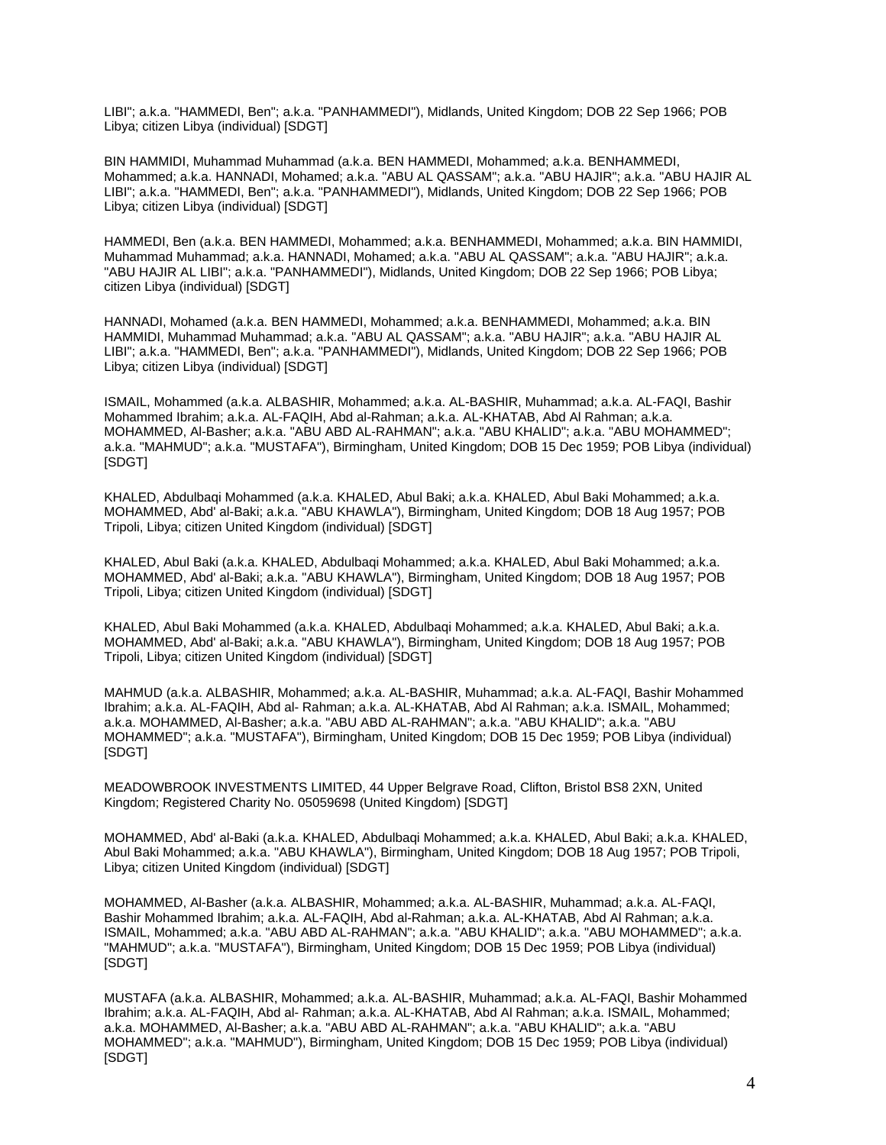LIBI"; a.k.a. "HAMMEDI, Ben"; a.k.a. "PANHAMMEDI"), Midlands, United Kingdom; DOB 22 Sep 1966; POB Libya; citizen Libya (individual) [SDGT]

BIN HAMMIDI, Muhammad Muhammad (a.k.a. BEN HAMMEDI, Mohammed; a.k.a. BENHAMMEDI, Mohammed; a.k.a. HANNADI, Mohamed; a.k.a. "ABU AL QASSAM"; a.k.a. "ABU HAJIR"; a.k.a. "ABU HAJIR AL LIBI"; a.k.a. "HAMMEDI, Ben"; a.k.a. "PANHAMMEDI"), Midlands, United Kingdom; DOB 22 Sep 1966; POB Libya; citizen Libya (individual) [SDGT]

HAMMEDI, Ben (a.k.a. BEN HAMMEDI, Mohammed; a.k.a. BENHAMMEDI, Mohammed; a.k.a. BIN HAMMIDI, Muhammad Muhammad; a.k.a. HANNADI, Mohamed; a.k.a. "ABU AL QASSAM"; a.k.a. "ABU HAJIR"; a.k.a. "ABU HAJIR AL LIBI"; a.k.a. "PANHAMMEDI"), Midlands, United Kingdom; DOB 22 Sep 1966; POB Libya; citizen Libya (individual) [SDGT]

HANNADI, Mohamed (a.k.a. BEN HAMMEDI, Mohammed; a.k.a. BENHAMMEDI, Mohammed; a.k.a. BIN HAMMIDI, Muhammad Muhammad; a.k.a. "ABU AL QASSAM"; a.k.a. "ABU HAJIR"; a.k.a. "ABU HAJIR AL LIBI"; a.k.a. "HAMMEDI, Ben"; a.k.a. "PANHAMMEDI"), Midlands, United Kingdom; DOB 22 Sep 1966; POB Libya; citizen Libya (individual) [SDGT]

ISMAIL, Mohammed (a.k.a. ALBASHIR, Mohammed; a.k.a. AL-BASHIR, Muhammad; a.k.a. AL-FAQI, Bashir Mohammed Ibrahim; a.k.a. AL-FAQIH, Abd al-Rahman; a.k.a. AL-KHATAB, Abd Al Rahman; a.k.a. MOHAMMED, Al-Basher; a.k.a. "ABU ABD AL-RAHMAN"; a.k.a. "ABU KHALID"; a.k.a. "ABU MOHAMMED"; a.k.a. "MAHMUD"; a.k.a. "MUSTAFA"), Birmingham, United Kingdom; DOB 15 Dec 1959; POB Libya (individual) [SDGT]

KHALED, Abdulbaqi Mohammed (a.k.a. KHALED, Abul Baki; a.k.a. KHALED, Abul Baki Mohammed; a.k.a. MOHAMMED, Abd' al-Baki; a.k.a. "ABU KHAWLA"), Birmingham, United Kingdom; DOB 18 Aug 1957; POB Tripoli, Libya; citizen United Kingdom (individual) [SDGT]

KHALED, Abul Baki (a.k.a. KHALED, Abdulbaqi Mohammed; a.k.a. KHALED, Abul Baki Mohammed; a.k.a. MOHAMMED, Abd' al-Baki; a.k.a. "ABU KHAWLA"), Birmingham, United Kingdom; DOB 18 Aug 1957; POB Tripoli, Libya; citizen United Kingdom (individual) [SDGT]

KHALED, Abul Baki Mohammed (a.k.a. KHALED, Abdulbaqi Mohammed; a.k.a. KHALED, Abul Baki; a.k.a. MOHAMMED, Abd' al-Baki; a.k.a. "ABU KHAWLA"), Birmingham, United Kingdom; DOB 18 Aug 1957; POB Tripoli, Libya; citizen United Kingdom (individual) [SDGT]

MAHMUD (a.k.a. ALBASHIR, Mohammed; a.k.a. AL-BASHIR, Muhammad; a.k.a. AL-FAQI, Bashir Mohammed Ibrahim; a.k.a. AL-FAQIH, Abd al- Rahman; a.k.a. AL-KHATAB, Abd Al Rahman; a.k.a. ISMAIL, Mohammed; a.k.a. MOHAMMED, Al-Basher; a.k.a. "ABU ABD AL-RAHMAN"; a.k.a. "ABU KHALID"; a.k.a. "ABU MOHAMMED"; a.k.a. "MUSTAFA"), Birmingham, United Kingdom; DOB 15 Dec 1959; POB Libya (individual) [SDGT]

MEADOWBROOK INVESTMENTS LIMITED, 44 Upper Belgrave Road, Clifton, Bristol BS8 2XN, United Kingdom; Registered Charity No. 05059698 (United Kingdom) [SDGT]

MOHAMMED, Abd' al-Baki (a.k.a. KHALED, Abdulbaqi Mohammed; a.k.a. KHALED, Abul Baki; a.k.a. KHALED, Abul Baki Mohammed; a.k.a. "ABU KHAWLA"), Birmingham, United Kingdom; DOB 18 Aug 1957; POB Tripoli, Libya; citizen United Kingdom (individual) [SDGT]

MOHAMMED, Al-Basher (a.k.a. ALBASHIR, Mohammed; a.k.a. AL-BASHIR, Muhammad; a.k.a. AL-FAQI, Bashir Mohammed Ibrahim; a.k.a. AL-FAQIH, Abd al-Rahman; a.k.a. AL-KHATAB, Abd Al Rahman; a.k.a. ISMAIL, Mohammed; a.k.a. "ABU ABD AL-RAHMAN"; a.k.a. "ABU KHALID"; a.k.a. "ABU MOHAMMED"; a.k.a. "MAHMUD"; a.k.a. "MUSTAFA"), Birmingham, United Kingdom; DOB 15 Dec 1959; POB Libya (individual) [SDGT]

MUSTAFA (a.k.a. ALBASHIR, Mohammed; a.k.a. AL-BASHIR, Muhammad; a.k.a. AL-FAQI, Bashir Mohammed Ibrahim; a.k.a. AL-FAQIH, Abd al- Rahman; a.k.a. AL-KHATAB, Abd Al Rahman; a.k.a. ISMAIL, Mohammed; a.k.a. MOHAMMED, Al-Basher; a.k.a. "ABU ABD AL-RAHMAN"; a.k.a. "ABU KHALID"; a.k.a. "ABU MOHAMMED"; a.k.a. "MAHMUD"), Birmingham, United Kingdom; DOB 15 Dec 1959; POB Libya (individual) [SDGT]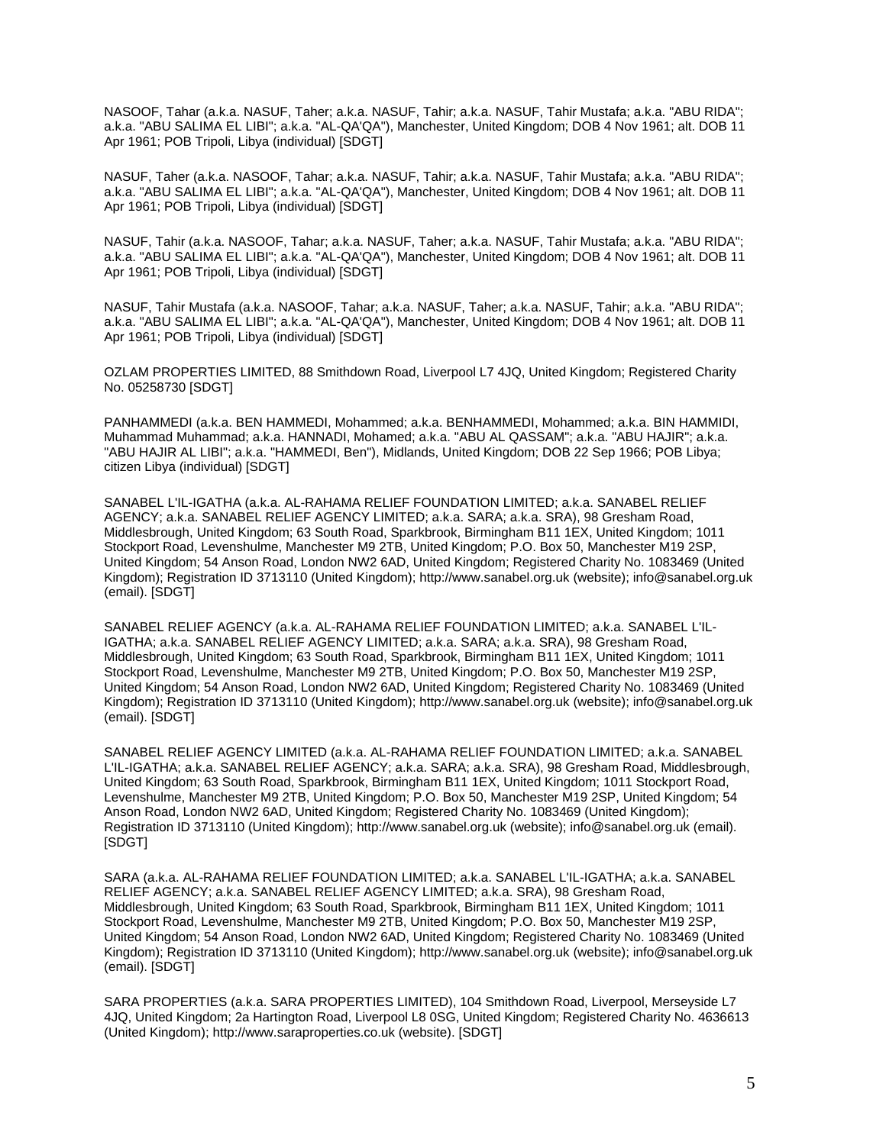NASOOF, Tahar (a.k.a. NASUF, Taher; a.k.a. NASUF, Tahir; a.k.a. NASUF, Tahir Mustafa; a.k.a. "ABU RIDA"; a.k.a. "ABU SALIMA EL LIBI"; a.k.a. "AL-QA'QA"), Manchester, United Kingdom; DOB 4 Nov 1961; alt. DOB 11 Apr 1961; POB Tripoli, Libya (individual) [SDGT]

NASUF, Taher (a.k.a. NASOOF, Tahar; a.k.a. NASUF, Tahir; a.k.a. NASUF, Tahir Mustafa; a.k.a. "ABU RIDA"; a.k.a. "ABU SALIMA EL LIBI"; a.k.a. "AL-QA'QA"), Manchester, United Kingdom; DOB 4 Nov 1961; alt. DOB 11 Apr 1961; POB Tripoli, Libya (individual) [SDGT]

NASUF, Tahir (a.k.a. NASOOF, Tahar; a.k.a. NASUF, Taher; a.k.a. NASUF, Tahir Mustafa; a.k.a. "ABU RIDA"; a.k.a. "ABU SALIMA EL LIBI"; a.k.a. "AL-QA'QA"), Manchester, United Kingdom; DOB 4 Nov 1961; alt. DOB 11 Apr 1961; POB Tripoli, Libya (individual) [SDGT]

NASUF, Tahir Mustafa (a.k.a. NASOOF, Tahar; a.k.a. NASUF, Taher; a.k.a. NASUF, Tahir; a.k.a. "ABU RIDA"; a.k.a. "ABU SALIMA EL LIBI"; a.k.a. "AL-QA'QA"), Manchester, United Kingdom; DOB 4 Nov 1961; alt. DOB 11 Apr 1961; POB Tripoli, Libya (individual) [SDGT]

OZLAM PROPERTIES LIMITED, 88 Smithdown Road, Liverpool L7 4JQ, United Kingdom; Registered Charity No. 05258730 [SDGT]

PANHAMMEDI (a.k.a. BEN HAMMEDI, Mohammed; a.k.a. BENHAMMEDI, Mohammed; a.k.a. BIN HAMMIDI, Muhammad Muhammad; a.k.a. HANNADI, Mohamed; a.k.a. "ABU AL QASSAM"; a.k.a. "ABU HAJIR"; a.k.a. "ABU HAJIR AL LIBI"; a.k.a. "HAMMEDI, Ben"), Midlands, United Kingdom; DOB 22 Sep 1966; POB Libya; citizen Libya (individual) [SDGT]

SANABEL L'IL-IGATHA (a.k.a. AL-RAHAMA RELIEF FOUNDATION LIMITED; a.k.a. SANABEL RELIEF AGENCY; a.k.a. SANABEL RELIEF AGENCY LIMITED; a.k.a. SARA; a.k.a. SRA), 98 Gresham Road, Middlesbrough, United Kingdom; 63 South Road, Sparkbrook, Birmingham B11 1EX, United Kingdom; 1011 Stockport Road, Levenshulme, Manchester M9 2TB, United Kingdom; P.O. Box 50, Manchester M19 2SP, United Kingdom; 54 Anson Road, London NW2 6AD, United Kingdom; Registered Charity No. 1083469 (United Kingdom); Registration ID 3713110 (United Kingdom); http://www.sanabel.org.uk (website); info@sanabel.org.uk (email). [SDGT]

SANABEL RELIEF AGENCY (a.k.a. AL-RAHAMA RELIEF FOUNDATION LIMITED; a.k.a. SANABEL L'IL-IGATHA; a.k.a. SANABEL RELIEF AGENCY LIMITED; a.k.a. SARA; a.k.a. SRA), 98 Gresham Road, Middlesbrough, United Kingdom; 63 South Road, Sparkbrook, Birmingham B11 1EX, United Kingdom; 1011 Stockport Road, Levenshulme, Manchester M9 2TB, United Kingdom; P.O. Box 50, Manchester M19 2SP, United Kingdom; 54 Anson Road, London NW2 6AD, United Kingdom; Registered Charity No. 1083469 (United Kingdom); Registration ID 3713110 (United Kingdom); http://www.sanabel.org.uk (website); info@sanabel.org.uk (email). [SDGT]

SANABEL RELIEF AGENCY LIMITED (a.k.a. AL-RAHAMA RELIEF FOUNDATION LIMITED; a.k.a. SANABEL L'IL-IGATHA; a.k.a. SANABEL RELIEF AGENCY; a.k.a. SARA; a.k.a. SRA), 98 Gresham Road, Middlesbrough, United Kingdom; 63 South Road, Sparkbrook, Birmingham B11 1EX, United Kingdom; 1011 Stockport Road, Levenshulme, Manchester M9 2TB, United Kingdom; P.O. Box 50, Manchester M19 2SP, United Kingdom; 54 Anson Road, London NW2 6AD, United Kingdom; Registered Charity No. 1083469 (United Kingdom); Registration ID 3713110 (United Kingdom); http://www.sanabel.org.uk (website); info@sanabel.org.uk (email). [SDGT]

SARA (a.k.a. AL-RAHAMA RELIEF FOUNDATION LIMITED; a.k.a. SANABEL L'IL-IGATHA; a.k.a. SANABEL RELIEF AGENCY; a.k.a. SANABEL RELIEF AGENCY LIMITED; a.k.a. SRA), 98 Gresham Road, Middlesbrough, United Kingdom; 63 South Road, Sparkbrook, Birmingham B11 1EX, United Kingdom; 1011 Stockport Road, Levenshulme, Manchester M9 2TB, United Kingdom; P.O. Box 50, Manchester M19 2SP, United Kingdom; 54 Anson Road, London NW2 6AD, United Kingdom; Registered Charity No. 1083469 (United Kingdom); Registration ID 3713110 (United Kingdom); http://www.sanabel.org.uk (website); info@sanabel.org.uk (email). [SDGT]

SARA PROPERTIES (a.k.a. SARA PROPERTIES LIMITED), 104 Smithdown Road, Liverpool, Merseyside L7 4JQ, United Kingdom; 2a Hartington Road, Liverpool L8 0SG, United Kingdom; Registered Charity No. 4636613 (United Kingdom); http://www.saraproperties.co.uk (website). [SDGT]